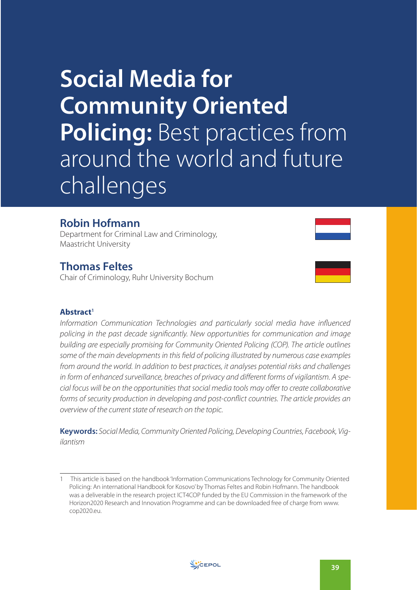# **Social Media for Community Oriented Policing:** Best practices from around the world and future challenges

## **Robin Hofmann**

Department for Criminal Law and Criminology, Maastricht University

## **Thomas Feltes**

Chair of Criminology, Ruhr University Bochum

#### **Abstract<sup>1</sup>**

Information Communication Technologies and particularly social media have influenced policing in the past decade significantly. New opportunities for communication and image building are especially promising for Community Oriented Policing (COP). The article outlines some of the main developments in this field of policing illustrated by numerous case examples from around the world. In addition to best practices, it analyses potential risks and challenges in form of enhanced surveillance, breaches of privacy and different forms of vigilantism. A special focus will be on the opportunities that social media tools may offer to create collaborative forms of security production in developing and post-conflict countries. The article provides an overview of the current state of research on the topic.

**Keywords:** Social Media, Community Oriented Policing, Developing Countries, Facebook, Vigilantism



<sup>1</sup> This article is based on the handbook 'Information Communications Technology for Community Oriented Policing: An international Handbook for Kosovo' by Thomas Feltes and Robin Hofmann. The handbook was a deliverable in the research project ICT4COP funded by the EU Commission in the framework of the Horizon2020 Research and Innovation Programme and can be downloaded free of charge from www. cop2020.eu.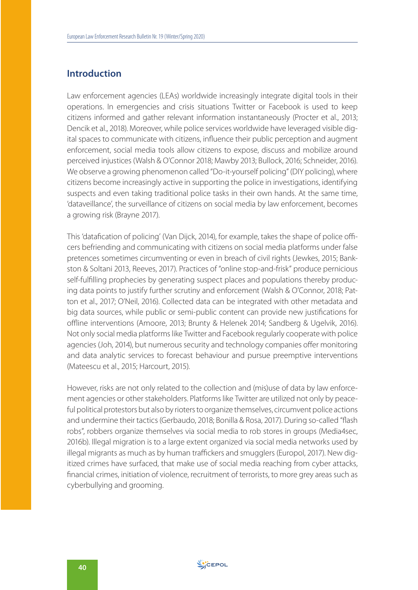#### **Introduction**

Law enforcement agencies (LEAs) worldwide increasingly integrate digital tools in their operations. In emergencies and crisis situations Twitter or Facebook is used to keep citizens informed and gather relevant information instantaneously (Procter et al., 2013; Dencik et al., 2018). Moreover, while police services worldwide have leveraged visible digital spaces to communicate with citizens, influence their public perception and augment enforcement, social media tools allow citizens to expose, discuss and mobilize around perceived injustices (Walsh & O'Connor 2018; Mawby 2013; Bullock, 2016; Schneider, 2016). We observe a growing phenomenon called "Do-it-yourself policing" (DIY policing), where citizens become increasingly active in supporting the police in investigations, identifying suspects and even taking traditional police tasks in their own hands. At the same time, 'dataveillance', the surveillance of citizens on social media by law enforcement, becomes a growing risk (Brayne 2017).

This 'datafication of policing' (Van Dijck, 2014), for example, takes the shape of police officers befriending and communicating with citizens on social media platforms under false pretences sometimes circumventing or even in breach of civil rights (Jewkes, 2015; Bankston & Soltani 2013, Reeves, 2017). Practices of "online stop-and-frisk" produce pernicious self-fulfilling prophecies by generating suspect places and populations thereby producing data points to justify further scrutiny and enforcement (Walsh & O'Connor, 2018; Patton et al., 2017; O'Neil, 2016). Collected data can be integrated with other metadata and big data sources, while public or semi-public content can provide new justifications for offline interventions (Amoore, 2013; Brunty & Helenek 2014; Sandberg & Ugelvik, 2016). Not only social media platforms like Twitter and Facebook regularly cooperate with police agencies (Joh, 2014), but numerous security and technology companies offer monitoring and data analytic services to forecast behaviour and pursue preemptive interventions (Mateescu et al., 2015; Harcourt, 2015).

However, risks are not only related to the collection and (mis)use of data by law enforcement agencies or other stakeholders. Platforms like Twitter are utilized not only by peaceful political protestors but also by rioters to organize themselves, circumvent police actions and undermine their tactics (Gerbaudo, 2018; Bonilla & Rosa, 2017). During so-called "flash robs", robbers organize themselves via social media to rob stores in groups (Media4sec, 2016b). Illegal migration is to a large extent organized via social media networks used by illegal migrants as much as by human traffickers and smugglers (Europol, 2017). New digitized crimes have surfaced, that make use of social media reaching from cyber attacks, financial crimes, initiation of violence, recruitment of terrorists, to more grey areas such as cyberbullying and grooming.

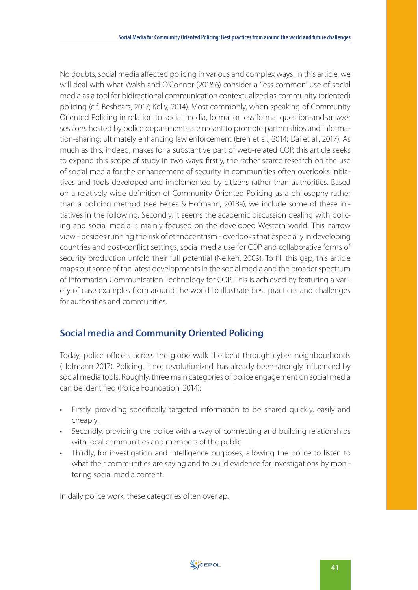No doubts, social media affected policing in various and complex ways. In this article, we will deal with what Walsh and O'Connor (2018:6) consider a 'less common' use of social media as a tool for bidirectional communication contextualized as community (oriented) policing (c.f. Beshears, 2017; Kelly, 2014). Most commonly, when speaking of Community Oriented Policing in relation to social media, formal or less formal question-and-answer sessions hosted by police departments are meant to promote partnerships and information-sharing; ultimately enhancing law enforcement (Eren et al., 2014; Dai et al., 2017). As much as this, indeed, makes for a substantive part of web-related COP, this article seeks to expand this scope of study in two ways: firstly, the rather scarce research on the use of social media for the enhancement of security in communities often overlooks initiatives and tools developed and implemented by citizens rather than authorities. Based on a relatively wide definition of Community Oriented Policing as a philosophy rather than a policing method (see Feltes & Hofmann, 2018a), we include some of these initiatives in the following. Secondly, it seems the academic discussion dealing with policing and social media is mainly focused on the developed Western world. This narrow view - besides running the risk of ethnocentrism - overlooks that especially in developing countries and post-conflict settings, social media use for COP and collaborative forms of security production unfold their full potential (Nelken, 2009). To fill this gap, this article maps out some of the latest developments in the social media and the broader spectrum of Information Communication Technology for COP. This is achieved by featuring a variety of case examples from around the world to illustrate best practices and challenges for authorities and communities.

#### **Social media and Community Oriented Policing**

Today, police officers across the globe walk the beat through cyber neighbourhoods (Hofmann 2017). Policing, if not revolutionized, has already been strongly influenced by social media tools. Roughly, three main categories of police engagement on social media can be identified (Police Foundation, 2014):

- Firstly, providing specifically targeted information to be shared quickly, easily and cheaply.
- Secondly, providing the police with a way of connecting and building relationships with local communities and members of the public.
- Thirdly, for investigation and intelligence purposes, allowing the police to listen to what their communities are saying and to build evidence for investigations by monitoring social media content.

In daily police work, these categories often overlap.

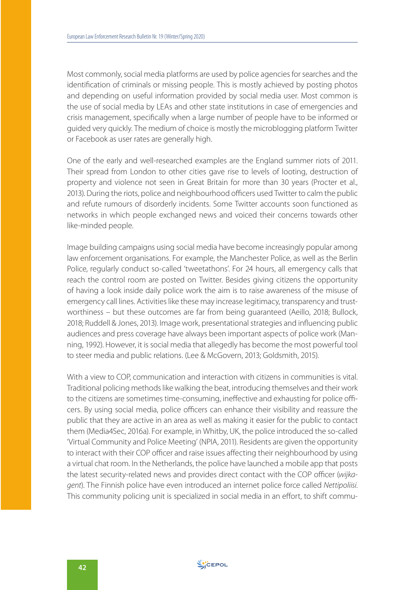Most commonly, social media platforms are used by police agencies for searches and the identification of criminals or missing people. This is mostly achieved by posting photos and depending on useful information provided by social media user. Most common is the use of social media by LEAs and other state institutions in case of emergencies and crisis management, specifically when a large number of people have to be informed or guided very quickly. The medium of choice is mostly the microblogging platform Twitter or Facebook as user rates are generally high.

One of the early and well-researched examples are the England summer riots of 2011. Their spread from London to other cities gave rise to levels of looting, destruction of property and violence not seen in Great Britain for more than 30 years (Procter et al., 2013). During the riots, police and neighbourhood officers used Twitter to calm the public and refute rumours of disorderly incidents. Some Twitter accounts soon functioned as networks in which people exchanged news and voiced their concerns towards other like-minded people.

Image building campaigns using social media have become increasingly popular among law enforcement organisations. For example, the Manchester Police, as well as the Berlin Police, regularly conduct so-called 'tweetathons'. For 24 hours, all emergency calls that reach the control room are posted on Twitter. Besides giving citizens the opportunity of having a look inside daily police work the aim is to raise awareness of the misuse of emergency call lines. Activities like these may increase legitimacy, transparency and trustworthiness – but these outcomes are far from being guaranteed (Aeillo, 2018; Bullock, 2018; Ruddell & Jones, 2013). Image work, presentational strategies and influencing public audiences and press coverage have always been important aspects of police work (Manning, 1992). However, it is social media that allegedly has become the most powerful tool to steer media and public relations. (Lee & McGovern, 2013; Goldsmith, 2015).

With a view to COP, communication and interaction with citizens in communities is vital. Traditional policing methods like walking the beat, introducing themselves and their work to the citizens are sometimes time-consuming, ineffective and exhausting for police officers. By using social media, police officers can enhance their visibility and reassure the public that they are active in an area as well as making it easier for the public to contact them (Media4Sec, 2016a). For example, in Whitby, UK, the police introduced the so-called 'Virtual Community and Police Meeting' (NPIA, 2011). Residents are given the opportunity to interact with their COP officer and raise issues affecting their neighbourhood by using a virtual chat room. In the Netherlands, the police have launched a mobile app that posts the latest security-related news and provides direct contact with the COP officer (wijkagent). The Finnish police have even introduced an internet police force called Nettipoliisi. This community policing unit is specialized in social media in an effort, to shift commu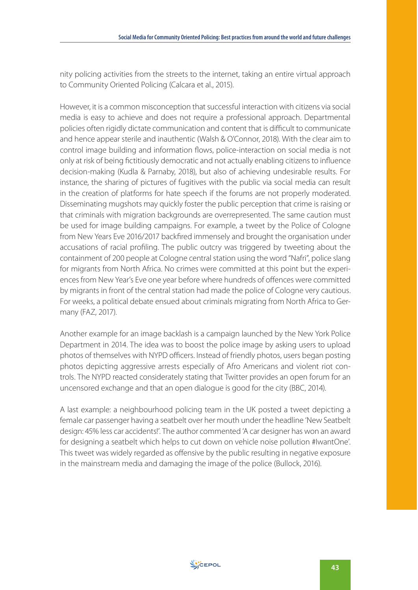nity policing activities from the streets to the internet, taking an entire virtual approach to Community Oriented Policing (Calcara et al., 2015).

However, it is a common misconception that successful interaction with citizens via social media is easy to achieve and does not require a professional approach. Departmental policies often rigidly dictate communication and content that is difficult to communicate and hence appear sterile and inauthentic (Walsh & O'Connor, 2018). With the clear aim to control image building and information flows, police-interaction on social media is not only at risk of being fictitiously democratic and not actually enabling citizens to influence decision-making (Kudla & Parnaby, 2018), but also of achieving undesirable results. For instance, the sharing of pictures of fugitives with the public via social media can result in the creation of platforms for hate speech if the forums are not properly moderated. Disseminating mugshots may quickly foster the public perception that crime is raising or that criminals with migration backgrounds are overrepresented. The same caution must be used for image building campaigns. For example, a tweet by the Police of Cologne from New Years Eve 2016/2017 backfired immensely and brought the organisation under accusations of racial profiling. The public outcry was triggered by tweeting about the containment of 200 people at Cologne central station using the word "Nafri", police slang for migrants from North Africa. No crimes were committed at this point but the experiences from New Year's Eve one year before where hundreds of offences were committed by migrants in front of the central station had made the police of Cologne very cautious. For weeks, a political debate ensued about criminals migrating from North Africa to Germany (FAZ, 2017).

Another example for an image backlash is a campaign launched by the New York Police Department in 2014. The idea was to boost the police image by asking users to upload photos of themselves with NYPD officers. Instead of friendly photos, users began posting photos depicting aggressive arrests especially of Afro Americans and violent riot controls. The NYPD reacted considerately stating that Twitter provides an open forum for an uncensored exchange and that an open dialogue is good for the city (BBC, 2014).

A last example: a neighbourhood policing team in the UK posted a tweet depicting a female car passenger having a seatbelt over her mouth under the headline 'New Seatbelt design: 45% less car accidents!'. The author commented 'A car designer has won an award for designing a seatbelt which helps to cut down on vehicle noise pollution #IwantOne'. This tweet was widely regarded as offensive by the public resulting in negative exposure in the mainstream media and damaging the image of the police (Bullock, 2016).

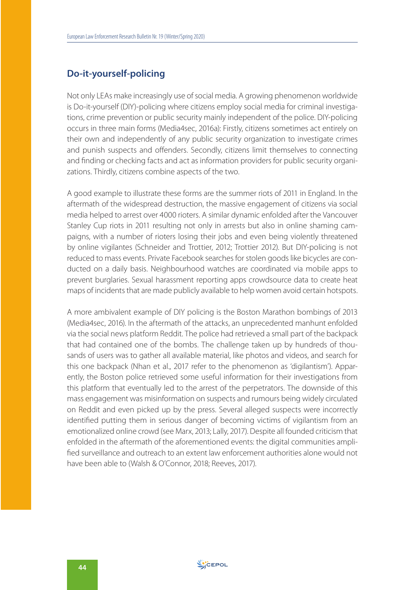#### **Do-it-yourself-policing**

Not only LEAs make increasingly use of social media. A growing phenomenon worldwide is Do-it-yourself (DIY)-policing where citizens employ social media for criminal investigations, crime prevention or public security mainly independent of the police. DIY-policing occurs in three main forms (Media4sec, 2016a): Firstly, citizens sometimes act entirely on their own and independently of any public security organization to investigate crimes and punish suspects and offenders. Secondly, citizens limit themselves to connecting and finding or checking facts and act as information providers for public security organizations. Thirdly, citizens combine aspects of the two.

A good example to illustrate these forms are the summer riots of 2011 in England. In the aftermath of the widespread destruction, the massive engagement of citizens via social media helped to arrest over 4000 rioters. A similar dynamic enfolded after the Vancouver Stanley Cup riots in 2011 resulting not only in arrests but also in online shaming campaigns, with a number of rioters losing their jobs and even being violently threatened by online vigilantes (Schneider and Trottier, 2012; Trottier 2012). But DIY-policing is not reduced to mass events. Private Facebook searches for stolen goods like bicycles are conducted on a daily basis. Neighbourhood watches are coordinated via mobile apps to prevent burglaries. Sexual harassment reporting apps crowdsource data to create heat maps of incidents that are made publicly available to help women avoid certain hotspots.

A more ambivalent example of DIY policing is the Boston Marathon bombings of 2013 (Media4sec, 2016). In the aftermath of the attacks, an unprecedented manhunt enfolded via the social news platform Reddit. The police had retrieved a small part of the backpack that had contained one of the bombs. The challenge taken up by hundreds of thousands of users was to gather all available material, like photos and videos, and search for this one backpack (Nhan et al., 2017 refer to the phenomenon as 'digilantism'). Apparently, the Boston police retrieved some useful information for their investigations from this platform that eventually led to the arrest of the perpetrators. The downside of this mass engagement was misinformation on suspects and rumours being widely circulated on Reddit and even picked up by the press. Several alleged suspects were incorrectly identified putting them in serious danger of becoming victims of vigilantism from an emotionalized online crowd (see Marx, 2013; Lally, 2017). Despite all founded criticism that enfolded in the aftermath of the aforementioned events: the digital communities amplified surveillance and outreach to an extent law enforcement authorities alone would not have been able to (Walsh & O'Connor, 2018; Reeves, 2017).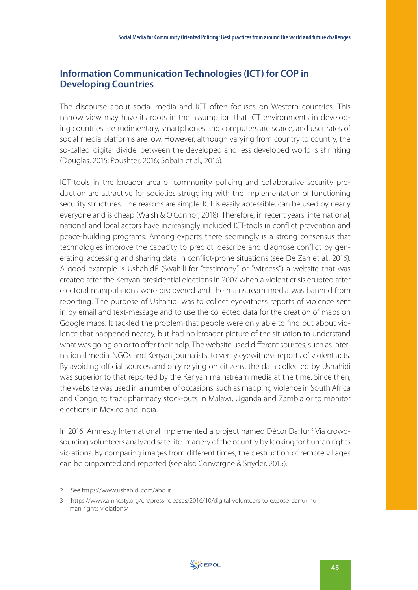### **Information Communication Technologies (ICT) for COP in Developing Countries**

The discourse about social media and ICT often focuses on Western countries. This narrow view may have its roots in the assumption that ICT environments in developing countries are rudimentary, smartphones and computers are scarce, and user rates of social media platforms are low. However, although varying from country to country, the so-called 'digital divide' between the developed and less developed world is shrinking (Douglas, 2015; Poushter, 2016; Sobaih et al., 2016).

ICT tools in the broader area of community policing and collaborative security production are attractive for societies struggling with the implementation of functioning security structures. The reasons are simple: ICT is easily accessible, can be used by nearly everyone and is cheap (Walsh & O'Connor, 2018). Therefore, in recent years, international, national and local actors have increasingly included ICT-tools in conflict prevention and peace-building programs. Among experts there seemingly is a strong consensus that technologies improve the capacity to predict, describe and diagnose conflict by generating, accessing and sharing data in conflict-prone situations (see De Zan et al., 2016). A good example is Ushahidi<sup>2</sup> (Swahili for "testimony" or "witness") a website that was created after the Kenyan presidential elections in 2007 when a violent crisis erupted after electoral manipulations were discovered and the mainstream media was banned from reporting. The purpose of Ushahidi was to collect eyewitness reports of violence sent in by email and text-message and to use the collected data for the creation of maps on Google maps. It tackled the problem that people were only able to find out about violence that happened nearby, but had no broader picture of the situation to understand what was going on or to offer their help. The website used different sources, such as international media, NGOs and Kenyan journalists, to verify eyewitness reports of violent acts. By avoiding official sources and only relying on citizens, the data collected by Ushahidi was superior to that reported by the Kenyan mainstream media at the time. Since then, the website was used in a number of occasions, such as mapping violence in South Africa and Congo, to track pharmacy stock-outs in Malawi, Uganda and Zambia or to monitor elections in Mexico and India.

In 2016, Amnesty International implemented a project named Décor Darfur.<sup>3</sup> Via crowdsourcing volunteers analyzed satellite imagery of the country by looking for human rights violations. By comparing images from different times, the destruction of remote villages can be pinpointed and reported (see also Convergne & Snyder, 2015).



<sup>2</sup> See https://www.ushahidi.com/about

<sup>3</sup> https://www.amnesty.org/en/press-releases/2016/10/digital-volunteers-to-expose-darfur-human-rights-violations/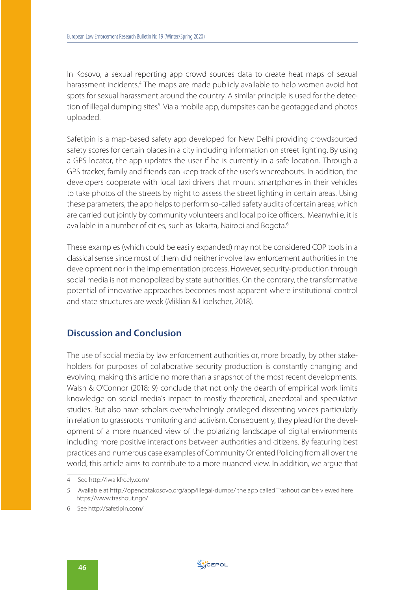In Kosovo, a sexual reporting app crowd sources data to create heat maps of sexual harassment incidents.<sup>4</sup> The maps are made publicly available to help women avoid hot spots for sexual harassment around the country. A similar principle is used for the detection of illegal dumping sites<sup>5</sup>. Via a mobile app, dumpsites can be geotagged and photos uploaded.

Safetipin is a map-based safety app developed for New Delhi providing crowdsourced safety scores for certain places in a city including information on street lighting. By using a GPS locator, the app updates the user if he is currently in a safe location. Through a GPS tracker, family and friends can keep track of the user's whereabouts. In addition, the developers cooperate with local taxi drivers that mount smartphones in their vehicles to take photos of the streets by night to assess the street lighting in certain areas. Using these parameters, the app helps to perform so-called safety audits of certain areas, which are carried out jointly by community volunteers and local police officers.. Meanwhile, it is available in a number of cities, such as Jakarta, Nairobi and Bogota.<sup>6</sup>

These examples (which could be easily expanded) may not be considered COP tools in a classical sense since most of them did neither involve law enforcement authorities in the development nor in the implementation process. However, security-production through social media is not monopolized by state authorities. On the contrary, the transformative potential of innovative approaches becomes most apparent where institutional control and state structures are weak (Miklian & Hoelscher, 2018).

#### **Discussion and Conclusion**

The use of social media by law enforcement authorities or, more broadly, by other stakeholders for purposes of collaborative security production is constantly changing and evolving, making this article no more than a snapshot of the most recent developments. Walsh & O'Connor (2018: 9) conclude that not only the dearth of empirical work limits knowledge on social media's impact to mostly theoretical, anecdotal and speculative studies. But also have scholars overwhelmingly privileged dissenting voices particularly in relation to grassroots monitoring and activism. Consequently, they plead for the development of a more nuanced view of the polarizing landscape of digital environments including more positive interactions between authorities and citizens. By featuring best practices and numerous case examples of Community Oriented Policing from all over the world, this article aims to contribute to a more nuanced view. In addition, we argue that

<sup>4</sup> See http://iwalkfreely.com/

<sup>5</sup> Available at http://opendatakosovo.org/app/illegal-dumps/ the app called Trashout can be viewed here https://www.trashout.ngo/

<sup>6</sup> See http://safetipin.com/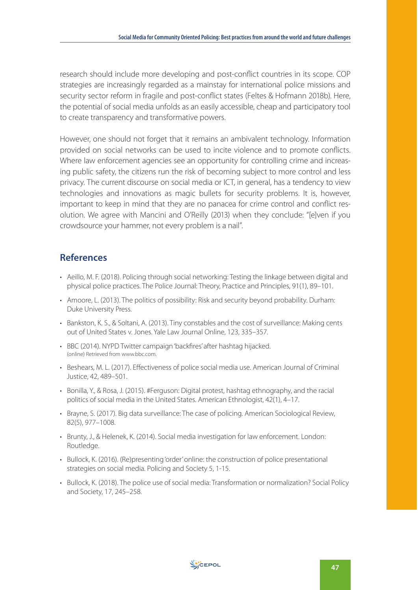research should include more developing and post-conflict countries in its scope. COP strategies are increasingly regarded as a mainstay for international police missions and security sector reform in fragile and post-conflict states (Feltes & Hofmann 2018b). Here, the potential of social media unfolds as an easily accessible, cheap and participatory tool to create transparency and transformative powers.

However, one should not forget that it remains an ambivalent technology. Information provided on social networks can be used to incite violence and to promote conflicts. Where law enforcement agencies see an opportunity for controlling crime and increasing public safety, the citizens run the risk of becoming subject to more control and less privacy. The current discourse on social media or ICT, in general, has a tendency to view technologies and innovations as magic bullets for security problems. It is, however, important to keep in mind that they are no panacea for crime control and conflict resolution. We agree with Mancini and O'Reilly (2013) when they conclude: "[e]ven if you crowdsource your hammer, not every problem is a nail".

#### **References**

- Aeillo, M. F. (2018). Policing through social networking: Testing the linkage between digital and physical police practices. The Police Journal: Theory, Practice and Principles, 91(1), 89–101.
- Amoore, L. (2013). The politics of possibility: Risk and security beyond probability. Durham: Duke University Press.
- Bankston, K. S., & Soltani, A. (2013). Tiny constables and the cost of surveillance: Making cents out of United States v. Jones. Yale Law Journal Online, 123, 335–357.
- BBC (2014). NYPD Twitter campaign 'backfires' after hashtag hijacked. (online) Retrieved from www.bbc.com.
- Beshears, M. L. (2017). Effectiveness of police social media use. American Journal of Criminal Justice, 42, 489–501.
- Bonilla, Y., & Rosa, J. (2015). #Ferguson: Digital protest, hashtag ethnography, and the racial politics of social media in the United States. American Ethnologist, 42(1), 4–17.
- Brayne, S. (2017). Big data surveillance: The case of policing. American Sociological Review, 82(5), 977–1008.
- Brunty, J., & Helenek, K. (2014). Social media investigation for law enforcement. London: Routledge.
- Bullock, K. (2016). (Re)presenting 'order' online: the construction of police presentational strategies on social media. Policing and Society 5, 1-15.
- Bullock, K. (2018). The police use of social media: Transformation or normalization? Social Policy and Society, 17, 245–258.

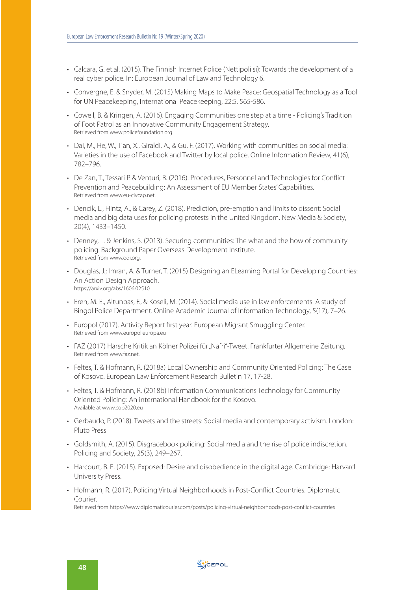- Calcara, G. et.al. (2015). The Finnish Internet Police (Nettipoliisi): Towards the development of a real cyber police. In: European Journal of Law and Technology 6.
- Convergne, E. & Snyder, M. (2015) Making Maps to Make Peace: Geospatial Technology as a Tool for UN Peacekeeping, International Peacekeeping, 22:5, 565-586.
- Cowell, B. & Kringen, A. (2016). Engaging Communities one step at a time Policing's Tradition of Foot Patrol as an Innovative Community Engagement Strategy. Retrieved from www.policefoundation.org
- Dai, M., He, W., Tian, X., Giraldi, A., & Gu, F. (2017). Working with communities on social media: Varieties in the use of Facebook and Twitter by local police. Online Information Review, 41(6), 782–796.
- De Zan, T., Tessari P. & Venturi, B. (2016). Procedures, Personnel and Technologies for Conflict Prevention and Peacebuilding: An Assessment of EU Member States' Capabilities. Retrieved from www.eu-civcap.net.
- Dencik, L., Hintz, A., & Carey, Z. (2018). Prediction, pre-emption and limits to dissent: Social media and big data uses for policing protests in the United Kingdom. New Media & Society, 20(4), 1433–1450.
- Denney, L. & Jenkins, S. (2013). Securing communities: The what and the how of community policing. Background Paper Overseas Development Institute. Retrieved from www.odi.org.
- Douglas, J.; Imran, A. & Turner, T. (2015) Designing an ELearning Portal for Developing Countries: An Action Design Approach. https://arxiv.org/abs/1606.02510
- Eren, M. E., Altunbas, F., & Koseli, M. (2014). Social media use in law enforcements: A study of Bingol Police Department. Online Academic Journal of Information Technology, 5(17), 7–26.
- Europol (2017). Activity Report first year. European Migrant Smuggling Center. Retrieved from www.europol.europa.eu
- FAZ (2017) Harsche Kritik an Kölner Polizei für "Nafri"-Tweet. Frankfurter Allgemeine Zeitung. Retrieved from www.faz.net.
- Feltes, T. & Hofmann, R. (2018a) Local Ownership and Community Oriented Policing: The Case of Kosovo. European Law Enforcement Research Bulletin 17, 17-28.
- Feltes, T. & Hofmann, R. (2018b) Information Communications Technology for Community Oriented Policing: An international Handbook for the Kosovo. Available at www.cop2020.eu
- Gerbaudo, P. (2018). Tweets and the streets: Social media and contemporary activism. London: Pluto Press
- Goldsmith, A. (2015). Disgracebook policing: Social media and the rise of police indiscretion. Policing and Society, 25(3), 249–267.
- Harcourt, B. E. (2015). Exposed: Desire and disobedience in the digital age. Cambridge: Harvard University Press.
- Hofmann, R. (2017). Policing Virtual Neighborhoods in Post-Conflict Countries. Diplomatic Courier. Retrieved from https://www.diplomaticourier.com/posts/policing-virtual-neighborhoods-post-conflict-countries

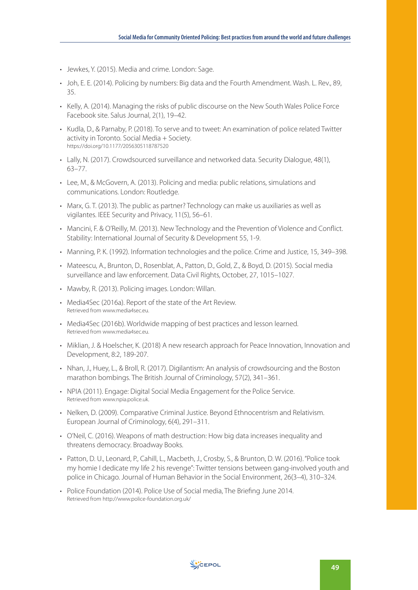- Jewkes, Y. (2015). Media and crime. London: Sage.
- Joh, E. E. (2014). Policing by numbers: Big data and the Fourth Amendment. Wash. L. Rev., 89, 35.
- Kelly, A. (2014). Managing the risks of public discourse on the New South Wales Police Force Facebook site. Salus Journal, 2(1), 19–42.
- Kudla, D., & Parnaby, P. (2018). To serve and to tweet: An examination of police related Twitter activity in Toronto. Social Media + Society. https://doi.org/10.1177/2056305118787520
- Lally, N. (2017). Crowdsourced surveillance and networked data. Security Dialogue, 48(1), 63–77.
- Lee, M., & McGovern, A. (2013). Policing and media: public relations, simulations and communications. London: Routledge.
- Marx, G. T. (2013). The public as partner? Technology can make us auxiliaries as well as vigilantes. IEEE Security and Privacy, 11(5), 56–61.
- Mancini, F. & O'Reilly, M. (2013). New Technology and the Prevention of Violence and Conflict. Stability: International Journal of Security & Development 55, 1-9.
- Manning, P. K. (1992). Information technologies and the police. Crime and Justice, 15, 349–398.
- Mateescu, A., Brunton, D., Rosenblat, A., Patton, D., Gold, Z., & Boyd, D. (2015). Social media surveillance and law enforcement. Data Civil Rights, October, 27, 1015–1027.
- Mawby, R. (2013). Policing images. London: Willan.
- Media4Sec (2016a). Report of the state of the Art Review. Retrieved from www.media4sec.eu.
- Media4Sec (2016b). Worldwide mapping of best practices and lesson learned. Retrieved from www.media4sec.eu.
- Miklian, J. & Hoelscher, K. (2018) A new research approach for Peace Innovation, Innovation and Development, 8:2, 189-207.
- Nhan, J., Huey, L., & Broll, R. (2017). Digilantism: An analysis of crowdsourcing and the Boston marathon bombings. The British Journal of Criminology, 57(2), 341–361.
- NPIA (2011). Engage: Digital Social Media Engagement for the Police Service. Retrieved from www.npia.police.uk.
- Nelken, D. (2009). Comparative Criminal Justice. Beyond Ethnocentrism and Relativism. European Journal of Criminology, 6(4), 291–311.
- O'Neil, C. (2016). Weapons of math destruction: How big data increases inequality and threatens democracy. Broadway Books.
- Patton, D. U., Leonard, P., Cahill, L., Macbeth, J., Crosby, S., & Brunton, D. W. (2016). "Police took my homie I dedicate my life 2 his revenge": Twitter tensions between gang-involved youth and police in Chicago. Journal of Human Behavior in the Social Environment, 26(3–4), 310–324.
- Police Foundation (2014). Police Use of Social media, The Briefing June 2014. Retrieved from http://www.police-foundation.org.uk/